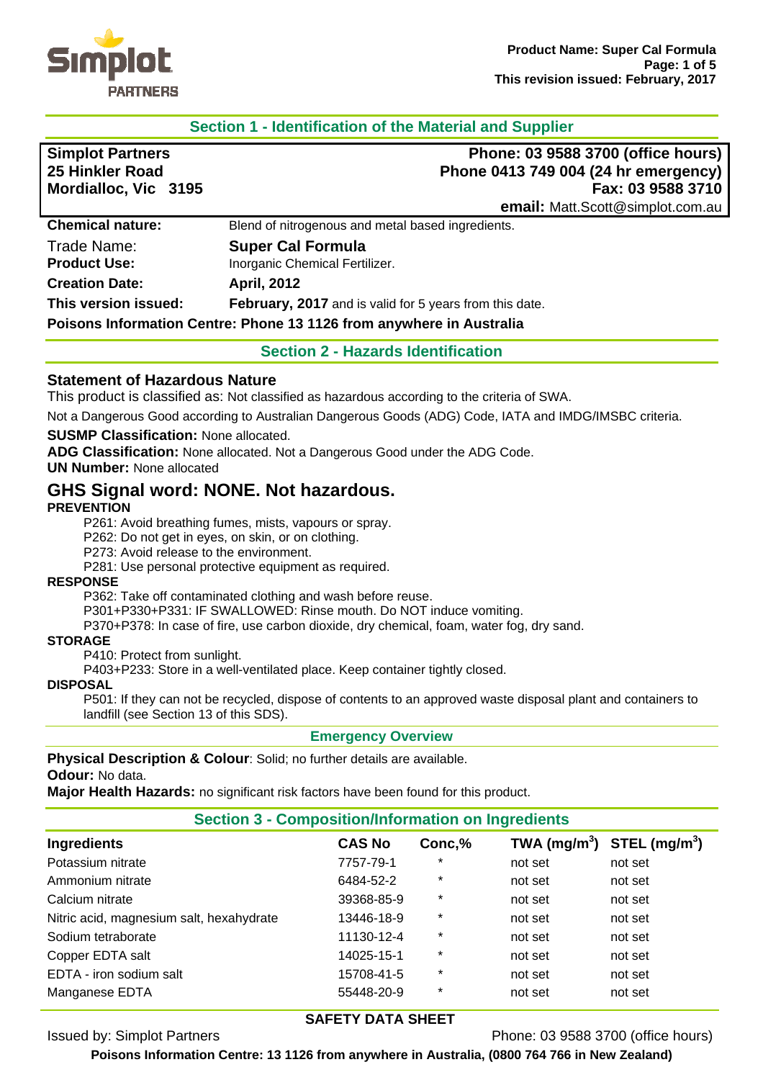

# **Section 1 - Identification of the Material and Supplier**

| <b>Simplot Partners</b><br>25 Hinkler Road<br>Mordialloc, Vic 3195 | Phone: 03 9588 3700 (office hours)<br>Phone 0413 749 004 (24 hr emergency)<br>Fax: 03 9588 3710<br>email: Matt.Scott@simplot.com.au |
|--------------------------------------------------------------------|-------------------------------------------------------------------------------------------------------------------------------------|
| <b>Chemical nature:</b>                                            | Blend of nitrogenous and metal based ingredients.                                                                                   |
| Trade Name:                                                        | <b>Super Cal Formula</b>                                                                                                            |
| <b>Product Use:</b>                                                | Inorganic Chemical Fertilizer.                                                                                                      |
| <b>Creation Date:</b>                                              | <b>April, 2012</b>                                                                                                                  |
| This version issued:                                               | <b>February, 2017</b> and is valid for 5 years from this date.                                                                      |
|                                                                    | Poisons Information Centre: Phone 13 1126 from anywhere in Australia                                                                |

#### **Section 2 - Hazards Identification**

#### **Statement of Hazardous Nature**

This product is classified as: Not classified as hazardous according to the criteria of SWA.

Not a Dangerous Good according to Australian Dangerous Goods (ADG) Code, IATA and IMDG/IMSBC criteria.

#### **SUSMP Classification:** None allocated.

**ADG Classification:** None allocated. Not a Dangerous Good under the ADG Code.

**UN Number:** None allocated

# **GHS Signal word: NONE. Not hazardous.**

#### **PREVENTION**

P261: Avoid breathing fumes, mists, vapours or spray.

P262: Do not get in eyes, on skin, or on clothing.

P273: Avoid release to the environment.

P281: Use personal protective equipment as required.

#### **RESPONSE**

P362: Take off contaminated clothing and wash before reuse.

P301+P330+P331: IF SWALLOWED: Rinse mouth. Do NOT induce vomiting.

P370+P378: In case of fire, use carbon dioxide, dry chemical, foam, water fog, dry sand.

#### **STORAGE**

P410: Protect from sunlight.

P403+P233: Store in a well-ventilated place. Keep container tightly closed.

#### **DISPOSAL**

P501: If they can not be recycled, dispose of contents to an approved waste disposal plant and containers to landfill (see Section 13 of this SDS).

#### **Emergency Overview**

**Physical Description & Colour**: Solid; no further details are available.

**Odour:** No data.

**Major Health Hazards:** no significant risk factors have been found for this product.

#### **Section 3 - Composition/Information on Ingredients**

| Ingredients                              | <b>CAS No</b> | Conc,%  | TWA $(mg/m^3)$ STEL $(mg/m^3)$ |         |
|------------------------------------------|---------------|---------|--------------------------------|---------|
| Potassium nitrate                        | 7757-79-1     | $\ast$  | not set                        | not set |
| Ammonium nitrate                         | 6484-52-2     | $\ast$  | not set                        | not set |
| Calcium nitrate                          | 39368-85-9    | $\star$ | not set                        | not set |
| Nitric acid, magnesium salt, hexahydrate | 13446-18-9    | $\star$ | not set                        | not set |
| Sodium tetraborate                       | 11130-12-4    | $\ast$  | not set                        | not set |
| Copper EDTA salt                         | 14025-15-1    | $\ast$  | not set                        | not set |
| EDTA - iron sodium salt                  | 15708-41-5    | $\ast$  | not set                        | not set |
| Manganese EDTA                           | 55448-20-9    | $\star$ | not set                        | not set |

#### **SAFETY DATA SHEET**

Issued by: Simplot Partners Phone: 03 9588 3700 (office hours)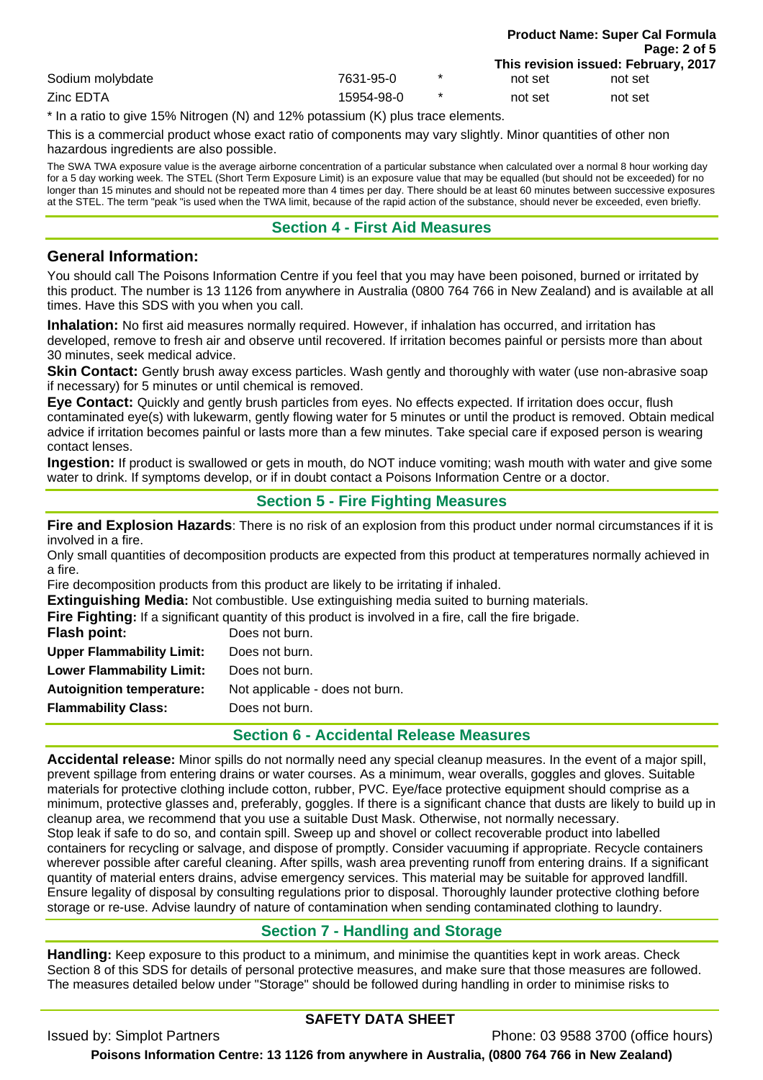|                  |            |         |         | Page: 2 of 5                         |
|------------------|------------|---------|---------|--------------------------------------|
|                  |            |         |         | This revision issued: February, 2017 |
| Sodium molybdate | 7631-95-0  | $\star$ | not set | not set                              |
| Zinc EDTA        | 15954-98-0 | $\star$ | not set | not set                              |
| $\sim$ $\sim$    |            |         |         |                                      |

\* In a ratio to give 15% Nitrogen (N) and 12% potassium (K) plus trace elements.

This is a commercial product whose exact ratio of components may vary slightly. Minor quantities of other non hazardous ingredients are also possible.

The SWA TWA exposure value is the average airborne concentration of a particular substance when calculated over a normal 8 hour working day for a 5 day working week. The STEL (Short Term Exposure Limit) is an exposure value that may be equalled (but should not be exceeded) for no longer than 15 minutes and should not be repeated more than 4 times per day. There should be at least 60 minutes between successive exposures at the STEL. The term "peak "is used when the TWA limit, because of the rapid action of the substance, should never be exceeded, even briefly.

# **Section 4 - First Aid Measures**

## **General Information:**

You should call The Poisons Information Centre if you feel that you may have been poisoned, burned or irritated by this product. The number is 13 1126 from anywhere in Australia (0800 764 766 in New Zealand) and is available at all times. Have this SDS with you when you call.

**Inhalation:** No first aid measures normally required. However, if inhalation has occurred, and irritation has developed, remove to fresh air and observe until recovered. If irritation becomes painful or persists more than about 30 minutes, seek medical advice.

**Skin Contact:** Gently brush away excess particles. Wash gently and thoroughly with water (use non-abrasive soap if necessary) for 5 minutes or until chemical is removed.

**Eye Contact:** Quickly and gently brush particles from eyes. No effects expected. If irritation does occur, flush contaminated eye(s) with lukewarm, gently flowing water for 5 minutes or until the product is removed. Obtain medical advice if irritation becomes painful or lasts more than a few minutes. Take special care if exposed person is wearing contact lenses.

**Ingestion:** If product is swallowed or gets in mouth, do NOT induce vomiting; wash mouth with water and give some water to drink. If symptoms develop, or if in doubt contact a Poisons Information Centre or a doctor.

# **Section 5 - Fire Fighting Measures**

**Fire and Explosion Hazards**: There is no risk of an explosion from this product under normal circumstances if it is involved in a fire.

Only small quantities of decomposition products are expected from this product at temperatures normally achieved in a fire.

Fire decomposition products from this product are likely to be irritating if inhaled.

**Extinguishing Media:** Not combustible. Use extinguishing media suited to burning materials.

**Fire Fighting:** If a significant quantity of this product is involved in a fire, call the fire brigade.

| Flash point:                     | Does not burn.                  |
|----------------------------------|---------------------------------|
| <b>Upper Flammability Limit:</b> | Does not burn.                  |
| <b>Lower Flammability Limit:</b> | Does not burn.                  |
| <b>Autoignition temperature:</b> | Not applicable - does not burn. |
| <b>Flammability Class:</b>       | Does not burn.                  |
|                                  |                                 |

## **Section 6 - Accidental Release Measures**

**Accidental release:** Minor spills do not normally need any special cleanup measures. In the event of a major spill, prevent spillage from entering drains or water courses. As a minimum, wear overalls, goggles and gloves. Suitable materials for protective clothing include cotton, rubber, PVC. Eye/face protective equipment should comprise as a minimum, protective glasses and, preferably, goggles. If there is a significant chance that dusts are likely to build up in cleanup area, we recommend that you use a suitable Dust Mask. Otherwise, not normally necessary. Stop leak if safe to do so, and contain spill. Sweep up and shovel or collect recoverable product into labelled containers for recycling or salvage, and dispose of promptly. Consider vacuuming if appropriate. Recycle containers wherever possible after careful cleaning. After spills, wash area preventing runoff from entering drains. If a significant quantity of material enters drains, advise emergency services. This material may be suitable for approved landfill. Ensure legality of disposal by consulting regulations prior to disposal. Thoroughly launder protective clothing before storage or re-use. Advise laundry of nature of contamination when sending contaminated clothing to laundry.

# **Section 7 - Handling and Storage**

**Handling:** Keep exposure to this product to a minimum, and minimise the quantities kept in work areas. Check Section 8 of this SDS for details of personal protective measures, and make sure that those measures are followed. The measures detailed below under "Storage" should be followed during handling in order to minimise risks to

# **SAFETY DATA SHEET**

Issued by: Simplot Partners Phone: 03 9588 3700 (office hours)

**Product Name: Super Cal Formula**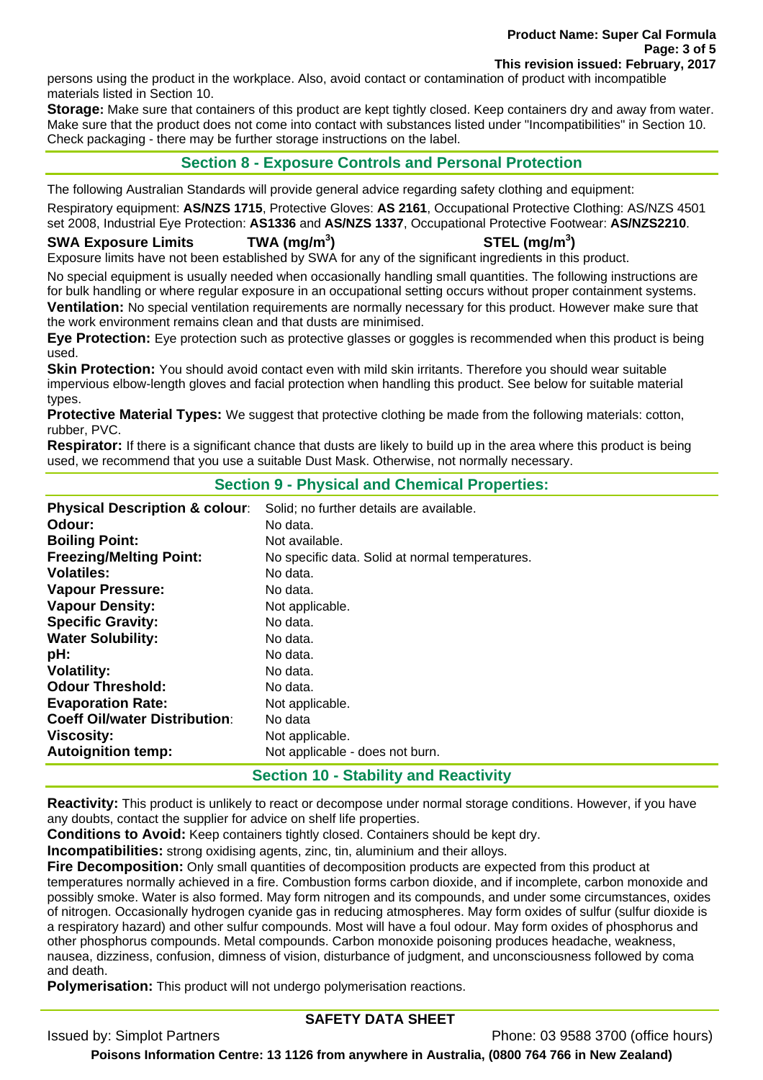**Product Name: Super Cal Formula Page: 3 of 5 This revision issued: February, 2017** 

persons using the product in the workplace. Also, avoid contact or contamination of product with incompatible materials listed in Section 10.

**Storage:** Make sure that containers of this product are kept tightly closed. Keep containers dry and away from water. Make sure that the product does not come into contact with substances listed under "Incompatibilities" in Section 10. Check packaging - there may be further storage instructions on the label.

## **Section 8 - Exposure Controls and Personal Protection**

The following Australian Standards will provide general advice regarding safety clothing and equipment:

Respiratory equipment: **AS/NZS 1715**, Protective Gloves: **AS 2161**, Occupational Protective Clothing: AS/NZS 4501 set 2008, Industrial Eye Protection: **AS1336** and **AS/NZS 1337**, Occupational Protective Footwear: **AS/NZS2210**.

#### **SWA Exposure Limits TWA (mg/m<sup>3</sup>**

## **) STEL (mg/m<sup>3</sup> )**

Exposure limits have not been established by SWA for any of the significant ingredients in this product.

No special equipment is usually needed when occasionally handling small quantities. The following instructions are for bulk handling or where regular exposure in an occupational setting occurs without proper containment systems. **Ventilation:** No special ventilation requirements are normally necessary for this product. However make sure that the work environment remains clean and that dusts are minimised.

**Eye Protection:** Eye protection such as protective glasses or goggles is recommended when this product is being used.

**Skin Protection:** You should avoid contact even with mild skin irritants. Therefore you should wear suitable impervious elbow-length gloves and facial protection when handling this product. See below for suitable material types.

**Protective Material Types:** We suggest that protective clothing be made from the following materials: cotton, rubber, PVC.

**Respirator:** If there is a significant chance that dusts are likely to build up in the area where this product is being used, we recommend that you use a suitable Dust Mask. Otherwise, not normally necessary.

#### **Section 9 - Physical and Chemical Properties:**

| <b>Physical Description &amp; colour:</b> | Solid; no further details are available.        |
|-------------------------------------------|-------------------------------------------------|
| Odour:                                    | No data.                                        |
| <b>Boiling Point:</b>                     | Not available.                                  |
| <b>Freezing/Melting Point:</b>            | No specific data. Solid at normal temperatures. |
| <b>Volatiles:</b>                         | No data.                                        |
| <b>Vapour Pressure:</b>                   | No data.                                        |
| <b>Vapour Density:</b>                    | Not applicable.                                 |
| <b>Specific Gravity:</b>                  | No data.                                        |
| <b>Water Solubility:</b>                  | No data.                                        |
| pH:                                       | No data.                                        |
| <b>Volatility:</b>                        | No data.                                        |
| <b>Odour Threshold:</b>                   | No data.                                        |
| <b>Evaporation Rate:</b>                  | Not applicable.                                 |
| <b>Coeff Oil/water Distribution:</b>      | No data                                         |
| <b>Viscosity:</b>                         | Not applicable.                                 |
| <b>Autoignition temp:</b>                 | Not applicable - does not burn.                 |
|                                           |                                                 |

#### **Section 10 - Stability and Reactivity**

**Reactivity:** This product is unlikely to react or decompose under normal storage conditions. However, if you have any doubts, contact the supplier for advice on shelf life properties.

**Conditions to Avoid:** Keep containers tightly closed. Containers should be kept dry.

**Incompatibilities:** strong oxidising agents, zinc, tin, aluminium and their alloys.

**Fire Decomposition:** Only small quantities of decomposition products are expected from this product at temperatures normally achieved in a fire. Combustion forms carbon dioxide, and if incomplete, carbon monoxide and possibly smoke. Water is also formed. May form nitrogen and its compounds, and under some circumstances, oxides of nitrogen. Occasionally hydrogen cyanide gas in reducing atmospheres. May form oxides of sulfur (sulfur dioxide is a respiratory hazard) and other sulfur compounds. Most will have a foul odour. May form oxides of phosphorus and other phosphorus compounds. Metal compounds. Carbon monoxide poisoning produces headache, weakness, nausea, dizziness, confusion, dimness of vision, disturbance of judgment, and unconsciousness followed by coma and death.

**Polymerisation:** This product will not undergo polymerisation reactions.

## **SAFETY DATA SHEET**

Issued by: Simplot Partners Phone: 03 9588 3700 (office hours)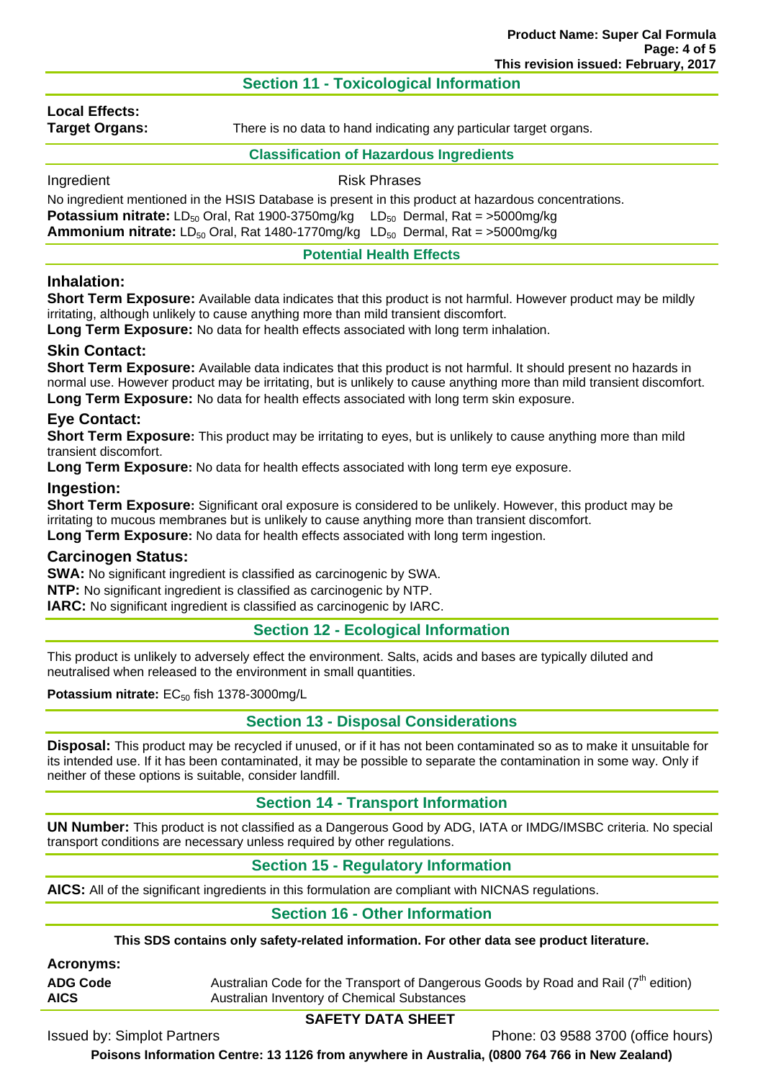# **Section 11 - Toxicological Information**

# **Local Effects:**

**Target Organs:** There is no data to hand indicating any particular target organs.

#### **Classification of Hazardous Ingredients**

Ingredient **Risk Phrases** 

No ingredient mentioned in the HSIS Database is present in this product at hazardous concentrations. **Potassium nitrate:** LD<sub>50</sub> Oral, Rat 1900-3750mg/kg LD<sub>50</sub> Dermal, Rat = >5000mg/kg **Ammonium nitrate:** LD<sub>50</sub> Oral, Rat 1480-1770mg/kg LD<sub>50</sub> Dermal, Rat = >5000mg/kg

**Potential Health Effects** 

# **Inhalation:**

**Short Term Exposure:** Available data indicates that this product is not harmful. However product may be mildly irritating, although unlikely to cause anything more than mild transient discomfort.

**Long Term Exposure:** No data for health effects associated with long term inhalation.

## **Skin Contact:**

**Short Term Exposure:** Available data indicates that this product is not harmful. It should present no hazards in normal use. However product may be irritating, but is unlikely to cause anything more than mild transient discomfort. **Long Term Exposure:** No data for health effects associated with long term skin exposure.

# **Eye Contact:**

**Short Term Exposure:** This product may be irritating to eyes, but is unlikely to cause anything more than mild transient discomfort.

**Long Term Exposure:** No data for health effects associated with long term eye exposure.

## **Ingestion:**

**Short Term Exposure:** Significant oral exposure is considered to be unlikely. However, this product may be irritating to mucous membranes but is unlikely to cause anything more than transient discomfort. **Long Term Exposure:** No data for health effects associated with long term ingestion.

## **Carcinogen Status:**

**SWA:** No significant ingredient is classified as carcinogenic by SWA.

**NTP:** No significant ingredient is classified as carcinogenic by NTP.

**IARC:** No significant ingredient is classified as carcinogenic by IARC.

## **Section 12 - Ecological Information**

This product is unlikely to adversely effect the environment. Salts, acids and bases are typically diluted and neutralised when released to the environment in small quantities.

Potassium nitrate: EC<sub>50</sub> fish 1378-3000mg/L

## **Section 13 - Disposal Considerations**

**Disposal:** This product may be recycled if unused, or if it has not been contaminated so as to make it unsuitable for its intended use. If it has been contaminated, it may be possible to separate the contamination in some way. Only if neither of these options is suitable, consider landfill.

## **Section 14 - Transport Information**

**UN Number:** This product is not classified as a Dangerous Good by ADG, IATA or IMDG/IMSBC criteria. No special transport conditions are necessary unless required by other regulations.

## **Section 15 - Regulatory Information**

**AICS:** All of the significant ingredients in this formulation are compliant with NICNAS regulations.

# **Section 16 - Other Information**

**This SDS contains only safety-related information. For other data see product literature.** 

**Acronyms:** 

**ADG Code** Australian Code for the Transport of Dangerous Goods by Road and Rail (7<sup>th</sup> edition) **AICS** Australian Inventory of Chemical Substances

## **SAFETY DATA SHEET**

Issued by: Simplot Partners Phone: 03 9588 3700 (office hours)